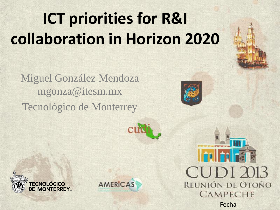# **ICT priorities for R&I collaboration in Horizon 2020**

Miguel González Mendoza mgonza@itesm.mx Tecnológico de Monterrey







**Tall to Re** CUDI 2013 REUNIÓN DE OTOÑO **CAMPECHE** Fecha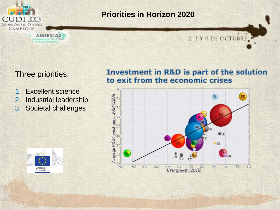

## **Priorities in Horizon 2020**

### 2, 3 Y 4 DE OCTUBRE.

## Three priorities:

CONFERENCIA TIC-E **L-INFRALSTRUCTUR** 

- 1. Excellent science
- 2. Industrial leadership
- 3. Societal challenges

## **Investment in R&D is part of the solution** to exit from the economic crises



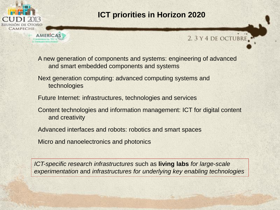

**CONTRENCIA TH** 

## **ICT priorities in Horizon 2020**

## 2. 3 Y 4 DE OCTUBRE.

A new generation of components and systems: engineering of advanced and smart embedded components and systems

Next generation computing: advanced computing systems and technologies

Future Internet: infrastructures, technologies and services

Content technologies and information management: ICT for digital content and creativity

Advanced interfaces and robots: robotics and smart spaces

Micro and nanoelectronics and photonics

*ICT-specific research infrastructures* such as **living labs** *for large-scale experimentation* and *infrastructures for underlying key enabling technologies*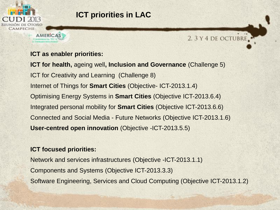

## **ICT priorities in LAC**

#### **ICT as enabler priorities:**

**AMERICAS** CONSTRUCTION TH

**ICT for health,** ageing well**, Inclusion and Governance** (Challenge 5) ICT for Creativity and Learning (Challenge 8) Internet of Things for **Smart Cities** (Objective- ICT-2013.1.4) Optimising Energy Systems in **Smart Cities** (Objective ICT-2013.6.4) Integrated personal mobility for **Smart Cities** (Objective ICT-2013.6.6) Connected and Social Media - Future Networks (Objective ICT-2013.1.6) **User-centred open innovation** (Objective -ICT-2013.5.5)

2. 3 Y 4 DE OCTUBRE.

#### **ICT focused priorities:**

Network and services infrastructures (Objective -ICT-2013.1.1) Components and Systems (Objective ICT-2013.3.3) Software Engineering, Services and Cloud Computing (Objective ICT-2013.1.2)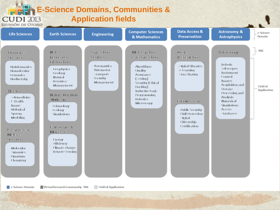



 $\Box$  e-Science Domain

Field of Application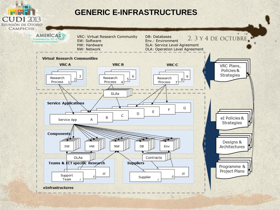

eInfrastructures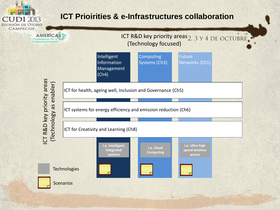

## **ICT Prioirities & e-Infrastructures collaboration**

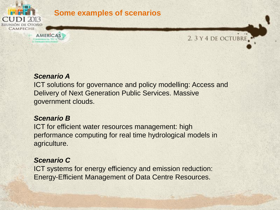

## **Some examples of scenarios**



#### *Scenario A*

**CONTERENTIA TIC** 

ICT solutions for governance and policy modelling: Access and Delivery of Next Generation Public Services. Massive government clouds.

#### *Scenario B*

ICT for efficient water resources management: high performance computing for real time hydrological models in agriculture.

#### *Scenario C*

ICT systems for energy efficiency and emission reduction: Energy-Efficient Management of Data Centre Resources.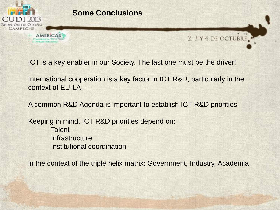

Trainvestions, TLC

## **Some Conclusions**



ICT is a key enabler in our Society. The last one must be the driver!

International cooperation is a key factor in ICT R&D, particularly in the context of EU-LA.

A common R&D Agenda is important to establish ICT R&D priorities.

Keeping in mind, ICT R&D priorities depend on: **Talent Infrastructure** Institutional coordination

in the context of the triple helix matrix: Government, Industry, Academia